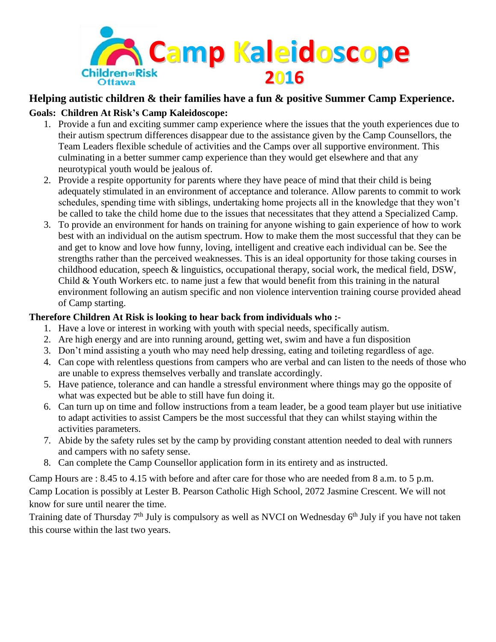

## **Helping autistic children & their families have a fun & positive Summer Camp Experience.**

## **Goals: Children At Risk's Camp Kaleidoscope:**

- 1. Provide a fun and exciting summer camp experience where the issues that the youth experiences due to their autism spectrum differences disappear due to the assistance given by the Camp Counsellors, the Team Leaders flexible schedule of activities and the Camps over all supportive environment. This culminating in a better summer camp experience than they would get elsewhere and that any neurotypical youth would be jealous of.
- 2. Provide a respite opportunity for parents where they have peace of mind that their child is being adequately stimulated in an environment of acceptance and tolerance. Allow parents to commit to work schedules, spending time with siblings, undertaking home projects all in the knowledge that they won't be called to take the child home due to the issues that necessitates that they attend a Specialized Camp.
- 3. To provide an environment for hands on training for anyone wishing to gain experience of how to work best with an individual on the autism spectrum. How to make them the most successful that they can be and get to know and love how funny, loving, intelligent and creative each individual can be. See the strengths rather than the perceived weaknesses. This is an ideal opportunity for those taking courses in childhood education, speech & linguistics, occupational therapy, social work, the medical field, DSW, Child & Youth Workers etc. to name just a few that would benefit from this training in the natural environment following an autism specific and non violence intervention training course provided ahead of Camp starting.

## **Therefore Children At Risk is looking to hear back from individuals who :-**

- 1. Have a love or interest in working with youth with special needs, specifically autism.
- 2. Are high energy and are into running around, getting wet, swim and have a fun disposition
- 3. Don't mind assisting a youth who may need help dressing, eating and toileting regardless of age.
- 4. Can cope with relentless questions from campers who are verbal and can listen to the needs of those who are unable to express themselves verbally and translate accordingly.
- 5. Have patience, tolerance and can handle a stressful environment where things may go the opposite of what was expected but be able to still have fun doing it.
- 6. Can turn up on time and follow instructions from a team leader, be a good team player but use initiative to adapt activities to assist Campers be the most successful that they can whilst staying within the activities parameters.
- 7. Abide by the safety rules set by the camp by providing constant attention needed to deal with runners and campers with no safety sense.
- 8. Can complete the Camp Counsellor application form in its entirety and as instructed.

Camp Hours are : 8.45 to 4.15 with before and after care for those who are needed from 8 a.m. to 5 p.m. Camp Location is possibly at Lester B. Pearson Catholic High School, 2072 Jasmine Crescent. We will not know for sure until nearer the time.

Training date of Thursday 7<sup>th</sup> July is compulsory as well as NVCI on Wednesday 6<sup>th</sup> July if you have not taken this course within the last two years.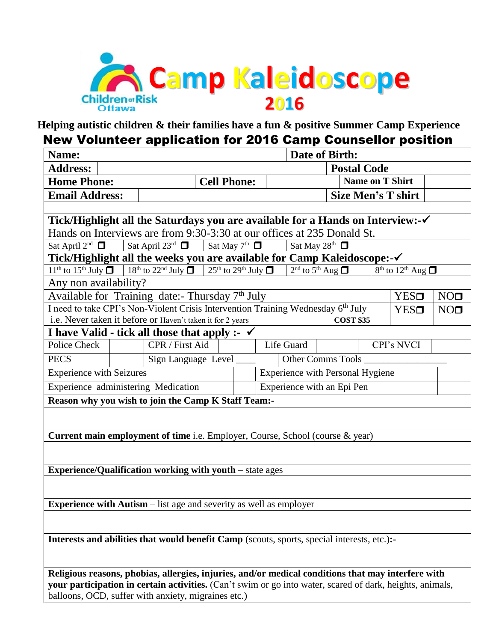

**Helping autistic children & their families have a fun & positive Summer Camp Experience**

## New Volunteer application for 2016 Camp Counsellor position

| Name:                                                                                                                                                                                                           |                                                                                  |                                                                                                                                          |                    |  |                    |                           | Date of Birth:                          |                        |                            |                 |
|-----------------------------------------------------------------------------------------------------------------------------------------------------------------------------------------------------------------|----------------------------------------------------------------------------------|------------------------------------------------------------------------------------------------------------------------------------------|--------------------|--|--------------------|---------------------------|-----------------------------------------|------------------------|----------------------------|-----------------|
| <b>Address:</b>                                                                                                                                                                                                 |                                                                                  |                                                                                                                                          |                    |  | <b>Postal Code</b> |                           |                                         |                        |                            |                 |
| <b>Home Phone:</b>                                                                                                                                                                                              |                                                                                  |                                                                                                                                          | <b>Cell Phone:</b> |  |                    |                           |                                         | <b>Name on T Shirt</b> |                            |                 |
| <b>Email Address:</b>                                                                                                                                                                                           |                                                                                  |                                                                                                                                          |                    |  |                    | <b>Size Men's T shirt</b> |                                         |                        |                            |                 |
|                                                                                                                                                                                                                 |                                                                                  |                                                                                                                                          |                    |  |                    |                           |                                         |                        |                            |                 |
|                                                                                                                                                                                                                 |                                                                                  | Tick/Highlight all the Saturdays you are available for a Hands on Interview:-√                                                           |                    |  |                    |                           |                                         |                        |                            |                 |
| Hands on Interviews are from 9:30-3:30 at our offices at 235 Donald St.                                                                                                                                         |                                                                                  |                                                                                                                                          |                    |  |                    |                           |                                         |                        |                            |                 |
| Sat April $2^{nd}$ $\Box$                                                                                                                                                                                       | Sat April 23rd $\Box$<br>Sat May $7th$ $\Box$<br>Sat May 28 <sup>th</sup> $\Box$ |                                                                                                                                          |                    |  |                    |                           |                                         |                        |                            |                 |
|                                                                                                                                                                                                                 |                                                                                  | Tick/Highlight all the weeks you are available for Camp Kaleidoscope:-√                                                                  |                    |  |                    |                           |                                         |                        |                            |                 |
|                                                                                                                                                                                                                 |                                                                                  | $11^{th}$ to $15^{th}$ July $\Box$ $18^{th}$ to $22^{nd}$ July $\Box$ $25^{th}$ to $29^{th}$ July $\Box$ $2^{nd}$ to $5^{th}$ Aug $\Box$ |                    |  |                    |                           |                                         |                        | $8th$ to $12th$ Aug $\Box$ |                 |
| Any non availability?                                                                                                                                                                                           |                                                                                  |                                                                                                                                          |                    |  |                    |                           |                                         |                        |                            |                 |
|                                                                                                                                                                                                                 |                                                                                  | Available for Training date:- Thursday 7 <sup>th</sup> July                                                                              |                    |  |                    |                           |                                         |                        | <b>YES</b> □               | NO <sub>0</sub> |
|                                                                                                                                                                                                                 |                                                                                  | I need to take CPI's Non-Violent Crisis Intervention Training Wednesday 6th July                                                         |                    |  |                    |                           |                                         |                        | <b>YES</b> □               | NO <sub>1</sub> |
|                                                                                                                                                                                                                 |                                                                                  | i.e. Never taken it before or Haven't taken it for 2 years                                                                               |                    |  |                    |                           | <b>COST \$35</b>                        |                        |                            |                 |
| I have Valid - tick all those that apply :- $\checkmark$                                                                                                                                                        |                                                                                  |                                                                                                                                          |                    |  |                    |                           |                                         |                        |                            |                 |
| Police Check                                                                                                                                                                                                    |                                                                                  | CPR / First Aid                                                                                                                          |                    |  |                    | Life Guard                |                                         |                        | CPI's NVCI                 |                 |
| <b>PECS</b>                                                                                                                                                                                                     |                                                                                  | Sign Language Level ____                                                                                                                 |                    |  |                    |                           | Other Comms Tools                       |                        |                            |                 |
| <b>Experience with Seizures</b>                                                                                                                                                                                 |                                                                                  |                                                                                                                                          |                    |  |                    |                           | <b>Experience with Personal Hygiene</b> |                        |                            |                 |
| Experience administering Medication                                                                                                                                                                             |                                                                                  |                                                                                                                                          |                    |  |                    |                           | Experience with an Epi Pen              |                        |                            |                 |
| Reason why you wish to join the Camp K Staff Team:-                                                                                                                                                             |                                                                                  |                                                                                                                                          |                    |  |                    |                           |                                         |                        |                            |                 |
|                                                                                                                                                                                                                 |                                                                                  |                                                                                                                                          |                    |  |                    |                           |                                         |                        |                            |                 |
|                                                                                                                                                                                                                 |                                                                                  |                                                                                                                                          |                    |  |                    |                           |                                         |                        |                            |                 |
| Current main employment of time i.e. Employer, Course, School (course & year)                                                                                                                                   |                                                                                  |                                                                                                                                          |                    |  |                    |                           |                                         |                        |                            |                 |
|                                                                                                                                                                                                                 |                                                                                  |                                                                                                                                          |                    |  |                    |                           |                                         |                        |                            |                 |
| <b>Experience/Qualification working with youth - state ages</b>                                                                                                                                                 |                                                                                  |                                                                                                                                          |                    |  |                    |                           |                                         |                        |                            |                 |
|                                                                                                                                                                                                                 |                                                                                  |                                                                                                                                          |                    |  |                    |                           |                                         |                        |                            |                 |
|                                                                                                                                                                                                                 |                                                                                  |                                                                                                                                          |                    |  |                    |                           |                                         |                        |                            |                 |
| <b>Experience with Autism</b> – list age and severity as well as employer                                                                                                                                       |                                                                                  |                                                                                                                                          |                    |  |                    |                           |                                         |                        |                            |                 |
|                                                                                                                                                                                                                 |                                                                                  |                                                                                                                                          |                    |  |                    |                           |                                         |                        |                            |                 |
|                                                                                                                                                                                                                 |                                                                                  |                                                                                                                                          |                    |  |                    |                           |                                         |                        |                            |                 |
| Interests and abilities that would benefit Camp (scouts, sports, special interests, etc.):-                                                                                                                     |                                                                                  |                                                                                                                                          |                    |  |                    |                           |                                         |                        |                            |                 |
|                                                                                                                                                                                                                 |                                                                                  |                                                                                                                                          |                    |  |                    |                           |                                         |                        |                            |                 |
|                                                                                                                                                                                                                 |                                                                                  |                                                                                                                                          |                    |  |                    |                           |                                         |                        |                            |                 |
| Religious reasons, phobias, allergies, injuries, and/or medical conditions that may interfere with<br>your participation in certain activities. (Can't swim or go into water, scared of dark, heights, animals, |                                                                                  |                                                                                                                                          |                    |  |                    |                           |                                         |                        |                            |                 |

balloons, OCD, suffer with anxiety, migraines etc.)